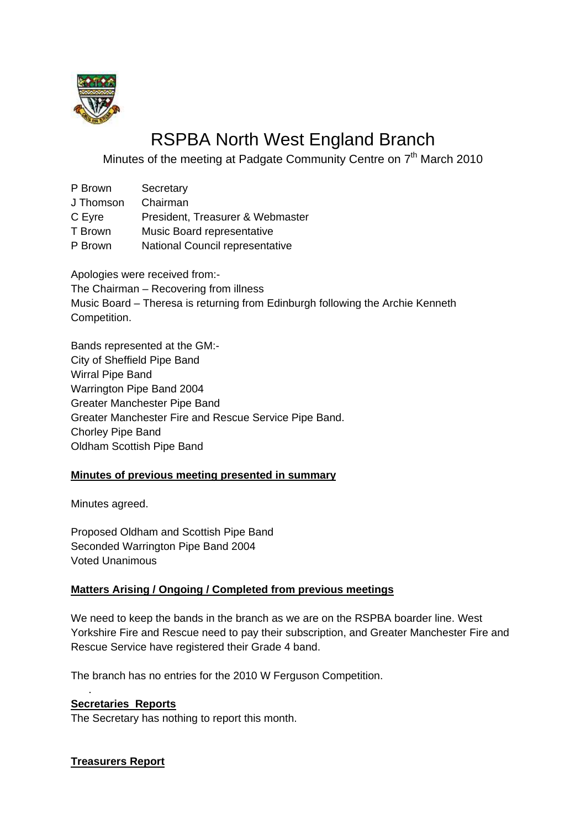

# RSPBA North West England Branch

Minutes of the meeting at Padgate Community Centre on 7<sup>th</sup> March 2010

- P Brown Secretary
- J Thomson Chairman
- C Eyre President, Treasurer & Webmaster
- T Brown Music Board representative
- P Brown National Council representative

Apologies were received from:- The Chairman – Recovering from illness Music Board – Theresa is returning from Edinburgh following the Archie Kenneth Competition.

Bands represented at the GM:- City of Sheffield Pipe Band Wirral Pipe Band Warrington Pipe Band 2004 Greater Manchester Pipe Band Greater Manchester Fire and Rescue Service Pipe Band. Chorley Pipe Band Oldham Scottish Pipe Band

# **Minutes of previous meeting presented in summary**

Minutes agreed.

Proposed Oldham and Scottish Pipe Band Seconded Warrington Pipe Band 2004 Voted Unanimous

# **Matters Arising / Ongoing / Completed from previous meetings**

We need to keep the bands in the branch as we are on the RSPBA boarder line. West Yorkshire Fire and Rescue need to pay their subscription, and Greater Manchester Fire and Rescue Service have registered their Grade 4 band.

The branch has no entries for the 2010 W Ferguson Competition.

#### **Secretaries Reports**

.

The Secretary has nothing to report this month.

**Treasurers Report**